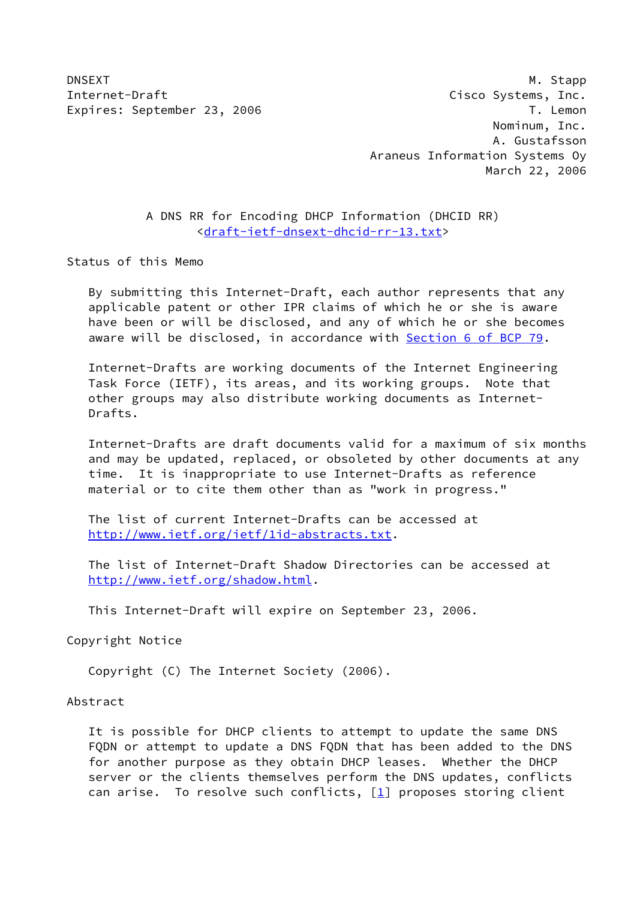DNSEXT M. Stapp Internet-Draft Cisco Systems, Inc. Expires: September 23, 2006 T. Lemon Nominum, Inc. A. Gustafsson Araneus Information Systems Oy March 22, 2006

> A DNS RR for Encoding DHCP Information (DHCID RR) [<draft-ietf-dnsext-dhcid-rr-13.txt](https://datatracker.ietf.org/doc/pdf/draft-ietf-dnsext-dhcid-rr-13.txt)>

Status of this Memo

 By submitting this Internet-Draft, each author represents that any applicable patent or other IPR claims of which he or she is aware have been or will be disclosed, and any of which he or she becomes aware will be disclosed, in accordance with Section [6 of BCP 79.](https://datatracker.ietf.org/doc/pdf/bcp79#section-6)

 Internet-Drafts are working documents of the Internet Engineering Task Force (IETF), its areas, and its working groups. Note that other groups may also distribute working documents as Internet- Drafts.

 Internet-Drafts are draft documents valid for a maximum of six months and may be updated, replaced, or obsoleted by other documents at any time. It is inappropriate to use Internet-Drafts as reference material or to cite them other than as "work in progress."

 The list of current Internet-Drafts can be accessed at <http://www.ietf.org/ietf/1id-abstracts.txt>.

 The list of Internet-Draft Shadow Directories can be accessed at <http://www.ietf.org/shadow.html>.

This Internet-Draft will expire on September 23, 2006.

Copyright Notice

Copyright (C) The Internet Society (2006).

Abstract

 It is possible for DHCP clients to attempt to update the same DNS FQDN or attempt to update a DNS FQDN that has been added to the DNS for another purpose as they obtain DHCP leases. Whether the DHCP server or the clients themselves perform the DNS updates, conflicts can arise. To resolve such conflicts,  $[1]$  $[1]$  proposes storing client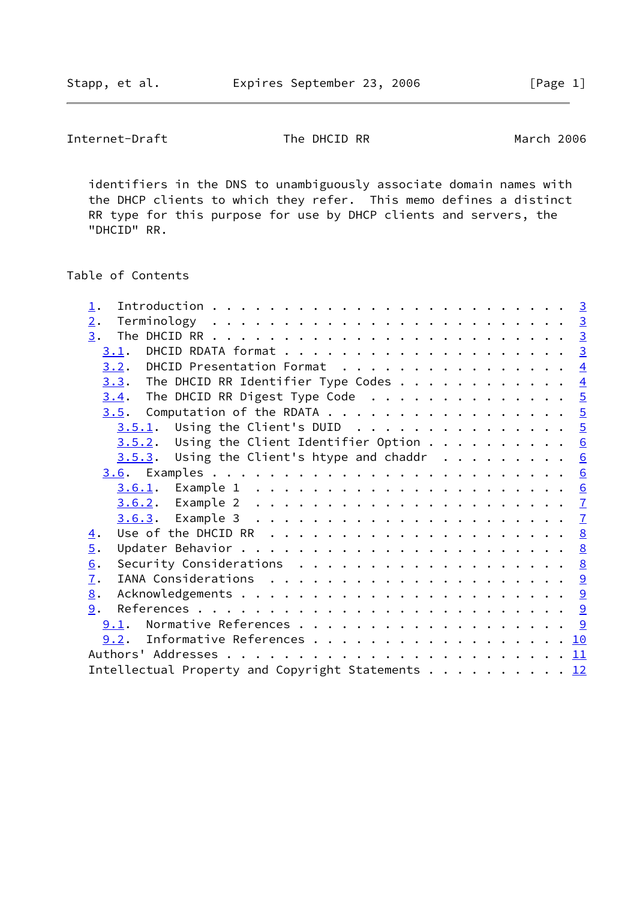Internet-Draft The DHCID RR March 2006

 identifiers in the DNS to unambiguously associate domain names with the DHCP clients to which they refer. This memo defines a distinct RR type for this purpose for use by DHCP clients and servers, the "DHCID" RR.

# Table of Contents

| $\perp$ .                                                                                                                                           |  |
|-----------------------------------------------------------------------------------------------------------------------------------------------------|--|
| 2.                                                                                                                                                  |  |
| 3.                                                                                                                                                  |  |
|                                                                                                                                                     |  |
| $\underline{3.2}$ . DHCID Presentation Format 4                                                                                                     |  |
| <u>3.3</u> . The DHCID RR Identifier Type Codes 4                                                                                                   |  |
| $3.4$ . The DHCID RR Digest Type Code 5                                                                                                             |  |
| <u>3.5</u> . Computation of the RDATA 5                                                                                                             |  |
| $3.5.1$ . Using the Client's DUID 5                                                                                                                 |  |
| $3.5.2$ . Using the Client Identifier Option 6                                                                                                      |  |
| $3.5.3$ . Using the Client's htype and chaddr 6                                                                                                     |  |
|                                                                                                                                                     |  |
|                                                                                                                                                     |  |
|                                                                                                                                                     |  |
|                                                                                                                                                     |  |
| Use of the DHCID RR $\dots \dots \dots \dots \dots \dots \dots \dots$<br>$\overline{4}$ .                                                           |  |
| $\overline{5}$ .                                                                                                                                    |  |
| 6.<br>Security Considerations $\cdot \cdot \cdot \cdot \cdot \cdot \cdot \cdot \cdot \cdot \cdot \cdot \cdot \cdot \cdot \cdot \cdot \cdot \cdot 8$ |  |
| $\overline{1}$ .                                                                                                                                    |  |
| 8.                                                                                                                                                  |  |
| 9.                                                                                                                                                  |  |
|                                                                                                                                                     |  |
| 9.2. Informative References 10                                                                                                                      |  |
|                                                                                                                                                     |  |
| Intellectual Property and Copyright Statements 12                                                                                                   |  |
|                                                                                                                                                     |  |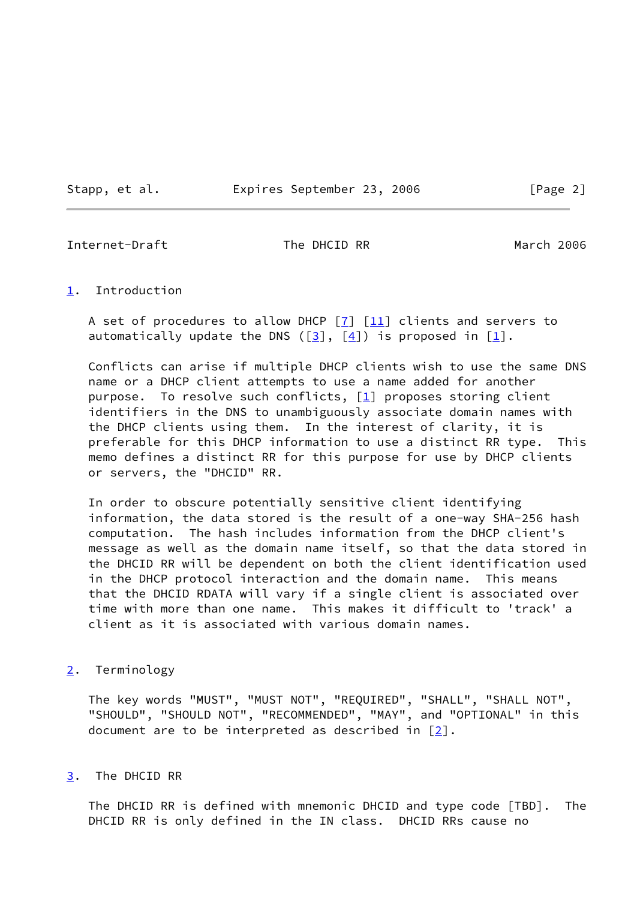Stapp, et al. Expires September 23, 2006 [Page 2]

<span id="page-2-1"></span>Internet-Draft The DHCID RR March 2006

## <span id="page-2-0"></span>[1](#page-2-0). Introduction

A set of procedures to allow DHCP  $[7]$  $[7]$   $[11]$  $[11]$  clients and servers to automatically update the DNS ( $[3]$  $[3]$ ,  $[4]$  $[4]$ ) is proposed in  $[1]$  $[1]$ .

 Conflicts can arise if multiple DHCP clients wish to use the same DNS name or a DHCP client attempts to use a name added for another purpose. To resolve such conflicts,  $[1]$  proposes storing client identifiers in the DNS to unambiguously associate domain names with the DHCP clients using them. In the interest of clarity, it is preferable for this DHCP information to use a distinct RR type. This memo defines a distinct RR for this purpose for use by DHCP clients or servers, the "DHCID" RR.

 In order to obscure potentially sensitive client identifying information, the data stored is the result of a one-way SHA-256 hash computation. The hash includes information from the DHCP client's message as well as the domain name itself, so that the data stored in the DHCID RR will be dependent on both the client identification used in the DHCP protocol interaction and the domain name. This means that the DHCID RDATA will vary if a single client is associated over time with more than one name. This makes it difficult to 'track' a client as it is associated with various domain names.

# <span id="page-2-2"></span>[2](#page-2-2). Terminology

 The key words "MUST", "MUST NOT", "REQUIRED", "SHALL", "SHALL NOT", "SHOULD", "SHOULD NOT", "RECOMMENDED", "MAY", and "OPTIONAL" in this document are to be interpreted as described in  $[2]$  $[2]$ .

<span id="page-2-3"></span>[3](#page-2-3). The DHCID RR

 The DHCID RR is defined with mnemonic DHCID and type code [TBD]. The DHCID RR is only defined in the IN class. DHCID RRs cause no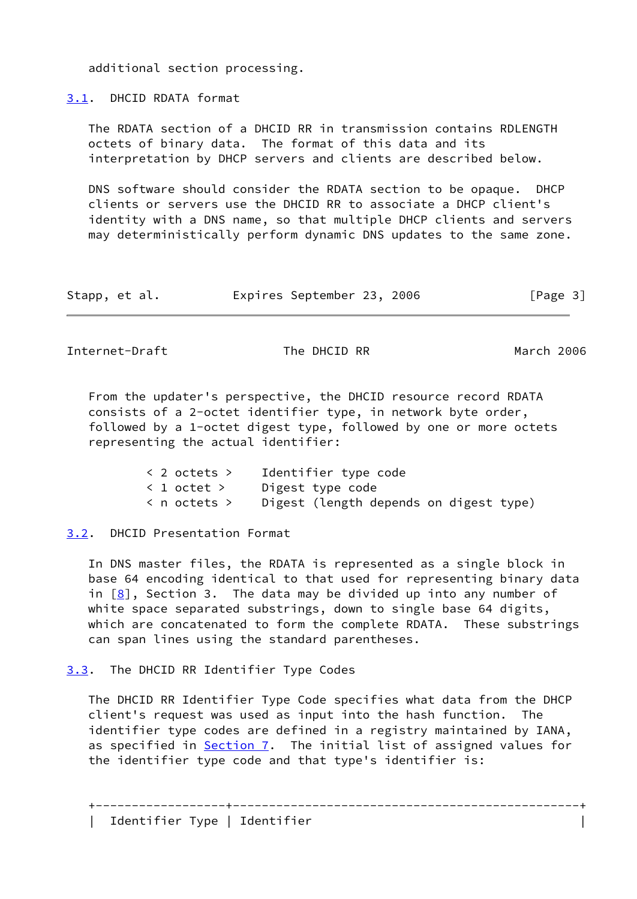additional section processing.

<span id="page-3-0"></span>[3.1](#page-3-0). DHCID RDATA format

 The RDATA section of a DHCID RR in transmission contains RDLENGTH octets of binary data. The format of this data and its interpretation by DHCP servers and clients are described below.

 DNS software should consider the RDATA section to be opaque. DHCP clients or servers use the DHCID RR to associate a DHCP client's identity with a DNS name, so that multiple DHCP clients and servers may deterministically perform dynamic DNS updates to the same zone.

| Stapp, et al. |  | Expires September 23, 2006 |  |  | [Page 3] |  |
|---------------|--|----------------------------|--|--|----------|--|
|---------------|--|----------------------------|--|--|----------|--|

<span id="page-3-2"></span>Internet-Draft The DHCID RR March 2006

 From the updater's perspective, the DHCID resource record RDATA consists of a 2-octet identifier type, in network byte order, followed by a 1-octet digest type, followed by one or more octets representing the actual identifier:

| < 2 octets > | Identifier type code                   |
|--------------|----------------------------------------|
| < 1 octet >  | Digest type code                       |
| < n octets > | Digest (length depends on digest type) |

<span id="page-3-1"></span>[3.2](#page-3-1). DHCID Presentation Format

 In DNS master files, the RDATA is represented as a single block in base 64 encoding identical to that used for representing binary data in  $[8]$  $[8]$ , Section 3. The data may be divided up into any number of white space separated substrings, down to single base 64 digits, which are concatenated to form the complete RDATA. These substrings can span lines using the standard parentheses.

<span id="page-3-3"></span>[3.3](#page-3-3). The DHCID RR Identifier Type Codes

 The DHCID RR Identifier Type Code specifies what data from the DHCP client's request was used as input into the hash function. The identifier type codes are defined in a registry maintained by IANA, as specified in [Section 7](#page-9-1). The initial list of assigned values for the identifier type code and that type's identifier is:

+------------------+------------------------------------------------+

| Identifier Type | Identifier |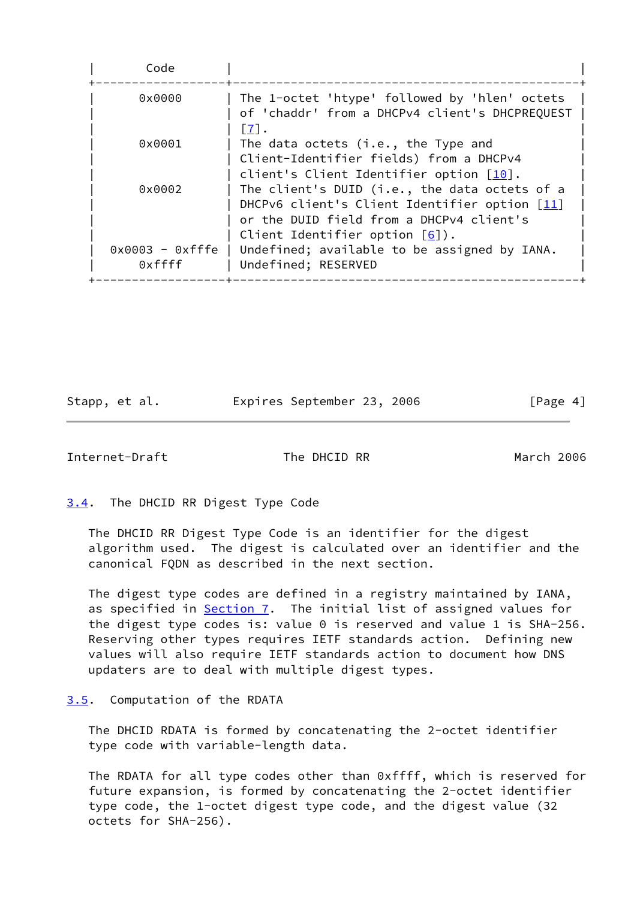| Code               |                                                                       |
|--------------------|-----------------------------------------------------------------------|
| 0x0000             | The 1-octet 'htype' followed by 'hlen' octets                         |
|                    | of 'chaddr' from a DHCPv4 client's DHCPREQUEST<br>$\lceil 7 \rceil$ . |
| $0 \times 0001$    | The data octets (i.e., the Type and                                   |
|                    | Client-Identifier fields) from a DHCPv4                               |
|                    | client's Client Identifier option $\lceil \frac{10}{10} \rceil$ .     |
| 0x0002             | The client's DUID (i.e., the data octets of a                         |
|                    | DHCPv6 client's Client Identifier option [11]                         |
|                    | or the DUID field from a DHCPv4 client's                              |
|                    | Client Identifier option $[6]$ ).                                     |
| $0x0003 - 0x$ fffe | Undefined; available to be assigned by IANA.                          |
| 0xffff             | Undefined; RESERVED                                                   |

Stapp, et al. Expires September 23, 2006 [Page 4]

<span id="page-4-1"></span>Internet-Draft The DHCID RR March 2006

<span id="page-4-0"></span>[3.4](#page-4-0). The DHCID RR Digest Type Code

 The DHCID RR Digest Type Code is an identifier for the digest algorithm used. The digest is calculated over an identifier and the canonical FQDN as described in the next section.

 The digest type codes are defined in a registry maintained by IANA, as specified in **Section 7</u>.** The initial list of assigned values for the digest type codes is: value 0 is reserved and value 1 is SHA-256. Reserving other types requires IETF standards action. Defining new values will also require IETF standards action to document how DNS updaters are to deal with multiple digest types.

#### <span id="page-4-2"></span>[3.5](#page-4-2). Computation of the RDATA

 The DHCID RDATA is formed by concatenating the 2-octet identifier type code with variable-length data.

 The RDATA for all type codes other than 0xffff, which is reserved for future expansion, is formed by concatenating the 2-octet identifier type code, the 1-octet digest type code, and the digest value (32 octets for SHA-256).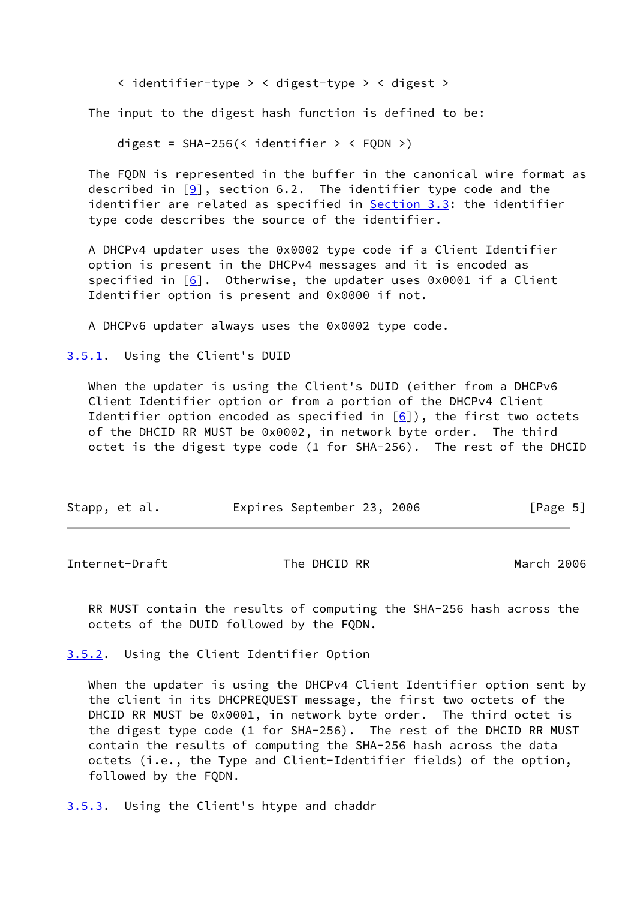< identifier-type > < digest-type > < digest >

The input to the digest hash function is defined to be:

digest =  $SHA-256$ (< identifier > <  $FQDN$  >)

 The FQDN is represented in the buffer in the canonical wire format as described in  $[9]$ , section 6.2. The identifier type code and the identifier are related as specified in [Section 3.3](#page-3-3): the identifier type code describes the source of the identifier.

 A DHCPv4 updater uses the 0x0002 type code if a Client Identifier option is present in the DHCPv4 messages and it is encoded as specified in  $[6]$ . Otherwise, the updater uses 0x0001 if a Client Identifier option is present and 0x0000 if not.

A DHCPv6 updater always uses the 0x0002 type code.

<span id="page-5-0"></span>[3.5.1](#page-5-0). Using the Client's DUID

 When the updater is using the Client's DUID (either from a DHCPv6 Client Identifier option or from a portion of the DHCPv4 Client Identifier option encoded as specified in  $[6]$  $[6]$ ), the first two octets of the DHCID RR MUST be 0x0002, in network byte order. The third octet is the digest type code (1 for SHA-256). The rest of the DHCID

| Stapp, et al. |  | Expires September 23, 2006 |  |  | [Page 5] |  |  |
|---------------|--|----------------------------|--|--|----------|--|--|
|---------------|--|----------------------------|--|--|----------|--|--|

<span id="page-5-2"></span>Internet-Draft The DHCID RR March 2006

 RR MUST contain the results of computing the SHA-256 hash across the octets of the DUID followed by the FQDN.

<span id="page-5-1"></span>[3.5.2](#page-5-1). Using the Client Identifier Option

 When the updater is using the DHCPv4 Client Identifier option sent by the client in its DHCPREQUEST message, the first two octets of the DHCID RR MUST be 0x0001, in network byte order. The third octet is the digest type code (1 for SHA-256). The rest of the DHCID RR MUST contain the results of computing the SHA-256 hash across the data octets (i.e., the Type and Client-Identifier fields) of the option, followed by the FQDN.

<span id="page-5-3"></span>[3.5.3](#page-5-3). Using the Client's htype and chaddr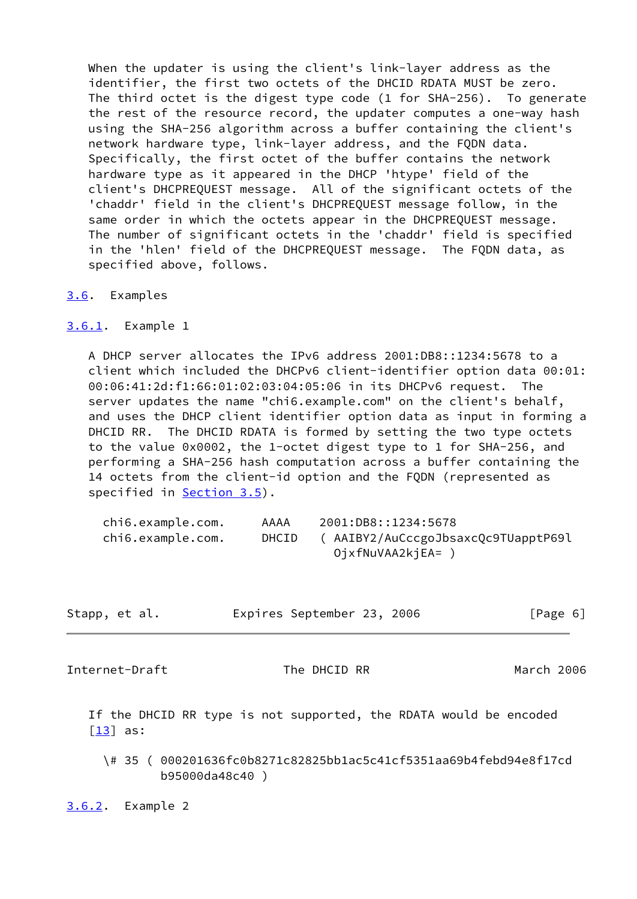When the updater is using the client's link-layer address as the identifier, the first two octets of the DHCID RDATA MUST be zero. The third octet is the digest type code (1 for SHA-256). To generate the rest of the resource record, the updater computes a one-way hash using the SHA-256 algorithm across a buffer containing the client's network hardware type, link-layer address, and the FQDN data. Specifically, the first octet of the buffer contains the network hardware type as it appeared in the DHCP 'htype' field of the client's DHCPREQUEST message. All of the significant octets of the 'chaddr' field in the client's DHCPREQUEST message follow, in the same order in which the octets appear in the DHCPREQUEST message. The number of significant octets in the 'chaddr' field is specified in the 'hlen' field of the DHCPREQUEST message. The FQDN data, as specified above, follows.

- <span id="page-6-0"></span>[3.6](#page-6-0). Examples
- <span id="page-6-1"></span>[3.6.1](#page-6-1). Example 1

 A DHCP server allocates the IPv6 address 2001:DB8::1234:5678 to a client which included the DHCPv6 client-identifier option data 00:01: 00:06:41:2d:f1:66:01:02:03:04:05:06 in its DHCPv6 request. The server updates the name "chi6.example.com" on the client's behalf, and uses the DHCP client identifier option data as input in forming a DHCID RR. The DHCID RDATA is formed by setting the two type octets to the value 0x0002, the 1-octet digest type to 1 for SHA-256, and performing a SHA-256 hash computation across a buffer containing the 14 octets from the client-id option and the FQDN (represented as specified in [Section 3.5](#page-4-2)).

| chi6.example.com. | AAAA         | 2001:DB8::1234:5678                |
|-------------------|--------------|------------------------------------|
| chi6.example.com. | <b>DHCID</b> | (AAIBY2/AuCccgoJbsaxcQc9TUapptP69l |
|                   |              | OjxfNuVAA2kjEA= ,                  |

| Stapp, et al. | Expires September 23, 2006 | [Page 6] |
|---------------|----------------------------|----------|
|---------------|----------------------------|----------|

<span id="page-6-3"></span>Internet-Draft The DHCID RR March 2006

 If the DHCID RR type is not supported, the RDATA would be encoded  $\lceil \underline{13} \rceil$  as:

 \# 35 ( 000201636fc0b8271c82825bb1ac5c41cf5351aa69b4febd94e8f17cd b95000da48c40 )

<span id="page-6-2"></span>[3.6.2](#page-6-2). Example 2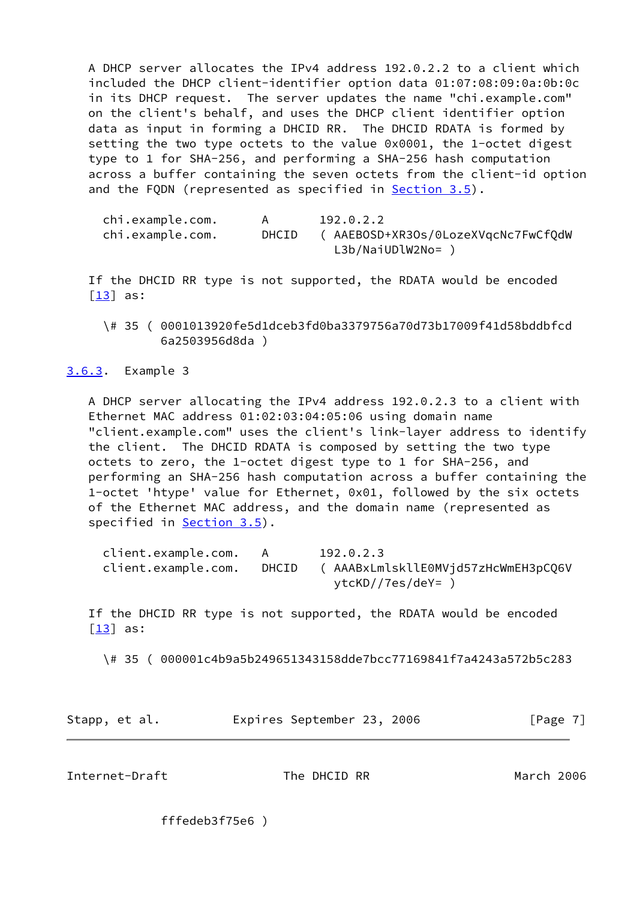A DHCP server allocates the IPv4 address 192.0.2.2 to a client which included the DHCP client-identifier option data 01:07:08:09:0a:0b:0c in its DHCP request. The server updates the name "chi.example.com" on the client's behalf, and uses the DHCP client identifier option data as input in forming a DHCID RR. The DHCID RDATA is formed by setting the two type octets to the value 0x0001, the 1-octet digest type to 1 for SHA-256, and performing a SHA-256 hash computation across a buffer containing the seven octets from the client-id option and the FQDN (represented as specified in [Section 3.5](#page-4-2)).

| chi.example.com. |       | 192.0.2.2                           |
|------------------|-------|-------------------------------------|
| chi.example.com. | DHCID | ( AAEBOSD+XR3Os/0LozeXVgcNc7FwCfQdW |
|                  |       | $L3b/NaiUDlW2No= )$                 |

 If the DHCID RR type is not supported, the RDATA would be encoded  $\lceil 13 \rceil$  as:

 \# 35 ( 0001013920fe5d1dceb3fd0ba3379756a70d73b17009f41d58bddbfcd 6a2503956d8da )

<span id="page-7-0"></span>[3.6.3](#page-7-0). Example 3

 A DHCP server allocating the IPv4 address 192.0.2.3 to a client with Ethernet MAC address 01:02:03:04:05:06 using domain name "client.example.com" uses the client's link-layer address to identify the client. The DHCID RDATA is composed by setting the two type octets to zero, the 1-octet digest type to 1 for SHA-256, and performing an SHA-256 hash computation across a buffer containing the 1-octet 'htype' value for Ethernet, 0x01, followed by the six octets of the Ethernet MAC address, and the domain name (represented as specified in **Section 3.5**).

| client.example.com. | - A   | 192.0.2.3                           |
|---------------------|-------|-------------------------------------|
| client.example.com. | DHCID | ( AAABxLmlskllE0MVjd57zHcWmEH3pCQ6V |
|                     |       | ytcKD//7es/deY= )                   |

 If the DHCID RR type is not supported, the RDATA would be encoded [\[13\]](#page-10-8) as:

\# 35 ( 000001c4b9a5b249651343158dde7bcc77169841f7a4243a572b5c283

Stapp, et al. Expires September 23, 2006 [Page 7]

<span id="page-7-1"></span>Internet-Draft The DHCID RR March 2006

fffedeb3f75e6 )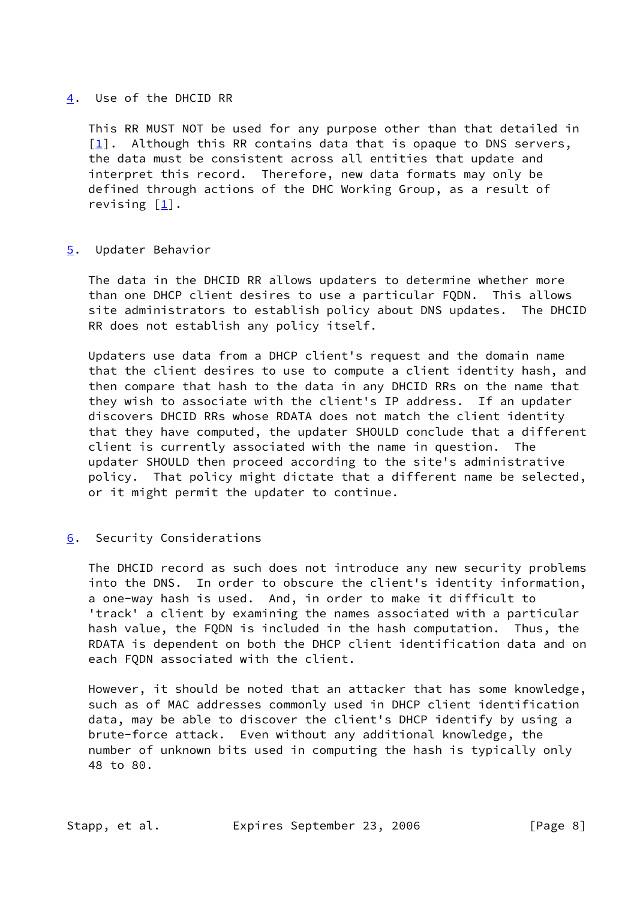## <span id="page-8-0"></span>[4](#page-8-0). Use of the DHCID RR

 This RR MUST NOT be used for any purpose other than that detailed in  $[1]$  $[1]$ . Although this RR contains data that is opaque to DNS servers, the data must be consistent across all entities that update and interpret this record. Therefore, new data formats may only be defined through actions of the DHC Working Group, as a result of revising [\[1\]](#page-9-0).

# <span id="page-8-1"></span>[5](#page-8-1). Updater Behavior

 The data in the DHCID RR allows updaters to determine whether more than one DHCP client desires to use a particular FQDN. This allows site administrators to establish policy about DNS updates. The DHCID RR does not establish any policy itself.

 Updaters use data from a DHCP client's request and the domain name that the client desires to use to compute a client identity hash, and then compare that hash to the data in any DHCID RRs on the name that they wish to associate with the client's IP address. If an updater discovers DHCID RRs whose RDATA does not match the client identity that they have computed, the updater SHOULD conclude that a different client is currently associated with the name in question. The updater SHOULD then proceed according to the site's administrative policy. That policy might dictate that a different name be selected, or it might permit the updater to continue.

# <span id="page-8-2"></span>[6](#page-8-2). Security Considerations

 The DHCID record as such does not introduce any new security problems into the DNS. In order to obscure the client's identity information, a one-way hash is used. And, in order to make it difficult to 'track' a client by examining the names associated with a particular hash value, the FQDN is included in the hash computation. Thus, the RDATA is dependent on both the DHCP client identification data and on each FQDN associated with the client.

 However, it should be noted that an attacker that has some knowledge, such as of MAC addresses commonly used in DHCP client identification data, may be able to discover the client's DHCP identify by using a brute-force attack. Even without any additional knowledge, the number of unknown bits used in computing the hash is typically only 48 to 80.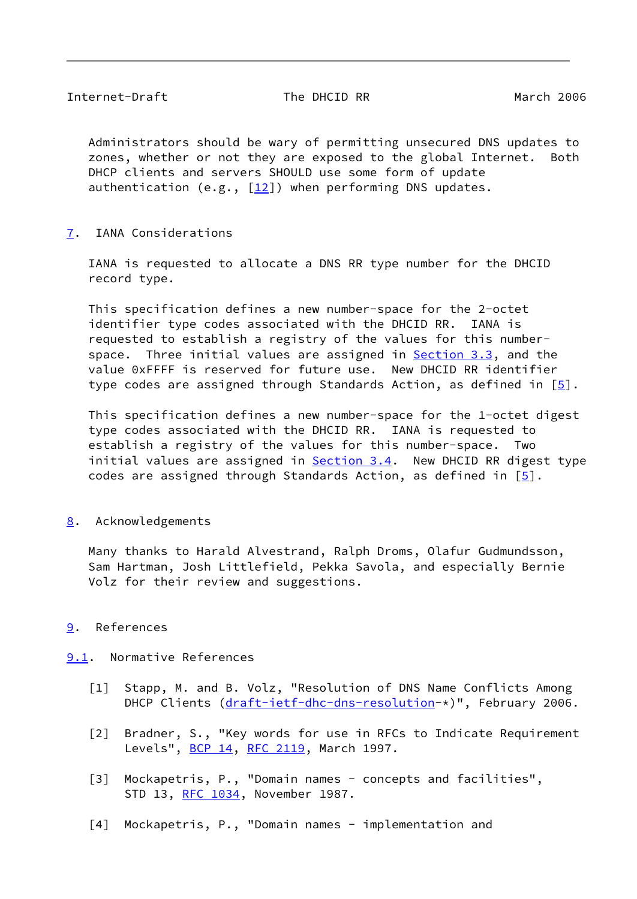<span id="page-9-2"></span> Administrators should be wary of permitting unsecured DNS updates to zones, whether or not they are exposed to the global Internet. Both DHCP clients and servers SHOULD use some form of update authentication (e.g.,  $[12]$  $[12]$ ) when performing DNS updates.

<span id="page-9-1"></span>[7](#page-9-1). IANA Considerations

 IANA is requested to allocate a DNS RR type number for the DHCID record type.

 This specification defines a new number-space for the 2-octet identifier type codes associated with the DHCID RR. IANA is requested to establish a registry of the values for this number- space. Three initial values are assigned in [Section 3.3](#page-3-3), and the value 0xFFFF is reserved for future use. New DHCID RR identifier type codes are assigned through Standards Action, as defined in  $[5]$  $[5]$ .

 This specification defines a new number-space for the 1-octet digest type codes associated with the DHCID RR. IANA is requested to establish a registry of the values for this number-space. Two initial values are assigned in **[Section 3.4](#page-4-0)</u>.** New DHCID RR digest type codes are assigned through Standards Action, as defined in  $[5]$  $[5]$ .

<span id="page-9-3"></span>[8](#page-9-3). Acknowledgements

 Many thanks to Harald Alvestrand, Ralph Droms, Olafur Gudmundsson, Sam Hartman, Josh Littlefield, Pekka Savola, and especially Bernie Volz for their review and suggestions.

- <span id="page-9-4"></span>[9](#page-9-4). References
- <span id="page-9-8"></span><span id="page-9-7"></span><span id="page-9-6"></span><span id="page-9-5"></span><span id="page-9-0"></span>[9.1](#page-9-5). Normative References
	- [1] Stapp, M. and B. Volz, "Resolution of DNS Name Conflicts Among DHCP Clients ([draft-ietf-dhc-dns-resolution-](https://datatracker.ietf.org/doc/pdf/draft-ietf-dhc-dns-resolution)\*)", February 2006.
	- [2] Bradner, S., "Key words for use in RFCs to Indicate Requirement Levels", [BCP 14](https://datatracker.ietf.org/doc/pdf/bcp14), [RFC 2119](https://datatracker.ietf.org/doc/pdf/rfc2119), March 1997.
	- [3] Mockapetris, P., "Domain names concepts and facilities", STD 13, [RFC 1034](https://datatracker.ietf.org/doc/pdf/rfc1034), November 1987.
	- [4] Mockapetris, P., "Domain names implementation and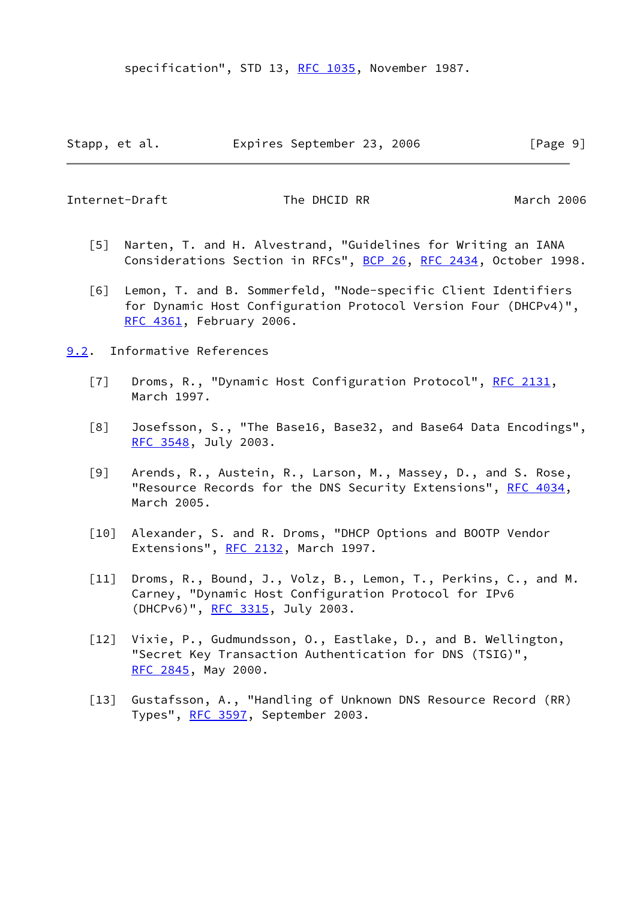specification", STD 13, [RFC 1035](https://datatracker.ietf.org/doc/pdf/rfc1035), November 1987.

<span id="page-10-1"></span>Internet-Draft The DHCID RR March 2006

- <span id="page-10-10"></span> [5] Narten, T. and H. Alvestrand, "Guidelines for Writing an IANA Considerations Section in RFCs", [BCP 26](https://datatracker.ietf.org/doc/pdf/bcp26), [RFC 2434](https://datatracker.ietf.org/doc/pdf/rfc2434), October 1998.
- <span id="page-10-6"></span> [6] Lemon, T. and B. Sommerfeld, "Node-specific Client Identifiers for Dynamic Host Configuration Protocol Version Four (DHCPv4)", [RFC 4361](https://datatracker.ietf.org/doc/pdf/rfc4361), February 2006.
- <span id="page-10-9"></span><span id="page-10-8"></span><span id="page-10-7"></span><span id="page-10-5"></span><span id="page-10-4"></span><span id="page-10-3"></span><span id="page-10-2"></span><span id="page-10-0"></span>[9.2](#page-10-0). Informative References
	- [7] Droms, R., "Dynamic Host Configuration Protocol", [RFC 2131](https://datatracker.ietf.org/doc/pdf/rfc2131), March 1997.
	- [8] Josefsson, S., "The Base16, Base32, and Base64 Data Encodings", [RFC 3548](https://datatracker.ietf.org/doc/pdf/rfc3548), July 2003.
	- [9] Arends, R., Austein, R., Larson, M., Massey, D., and S. Rose, "Resource Records for the DNS Security Extensions", [RFC 4034](https://datatracker.ietf.org/doc/pdf/rfc4034), March 2005.
	- [10] Alexander, S. and R. Droms, "DHCP Options and BOOTP Vendor Extensions", [RFC 2132,](https://datatracker.ietf.org/doc/pdf/rfc2132) March 1997.
	- [11] Droms, R., Bound, J., Volz, B., Lemon, T., Perkins, C., and M. Carney, "Dynamic Host Configuration Protocol for IPv6 (DHCPv6)", [RFC 3315](https://datatracker.ietf.org/doc/pdf/rfc3315), July 2003.
	- [12] Vixie, P., Gudmundsson, O., Eastlake, D., and B. Wellington, "Secret Key Transaction Authentication for DNS (TSIG)", [RFC 2845](https://datatracker.ietf.org/doc/pdf/rfc2845), May 2000.
	- [13] Gustafsson, A., "Handling of Unknown DNS Resource Record (RR) Types", [RFC 3597](https://datatracker.ietf.org/doc/pdf/rfc3597), September 2003.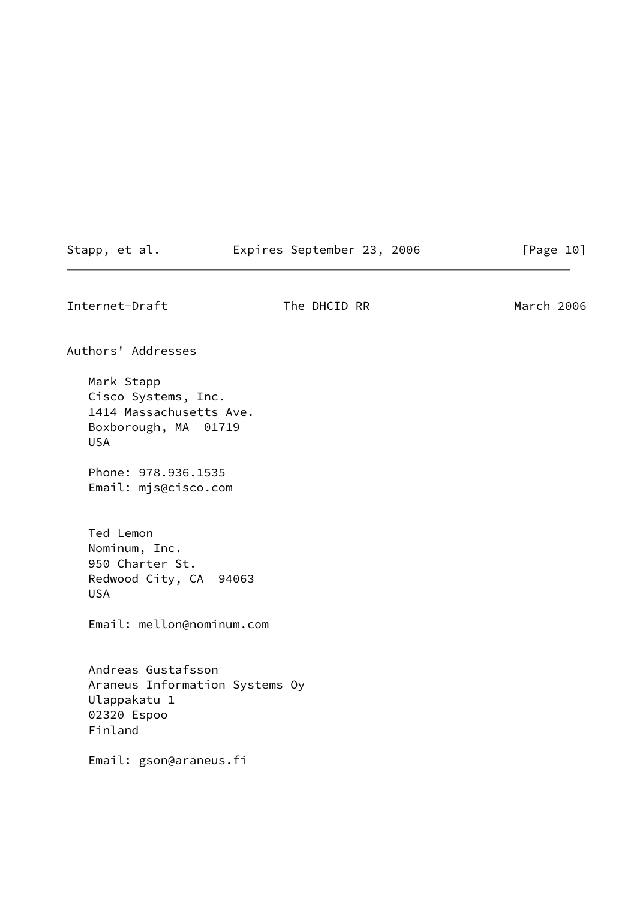| Stapp, et al. | Expires September 23, 2006 |  | [Page 10] |  |
|---------------|----------------------------|--|-----------|--|
|               |                            |  |           |  |

<span id="page-11-0"></span>Internet-Draft The DHCID RR March 2006

Authors' Addresses Mark Stapp Cisco Systems, Inc. 1414 Massachusetts Ave. Boxborough, MA 01719 USA Phone: 978.936.1535 Email: mjs@cisco.com Ted Lemon Nominum, Inc. 950 Charter St. Redwood City, CA 94063 USA Email: mellon@nominum.com Andreas Gustafsson Araneus Information Systems Oy Ulappakatu 1 02320 Espoo Finland

Email: gson@araneus.fi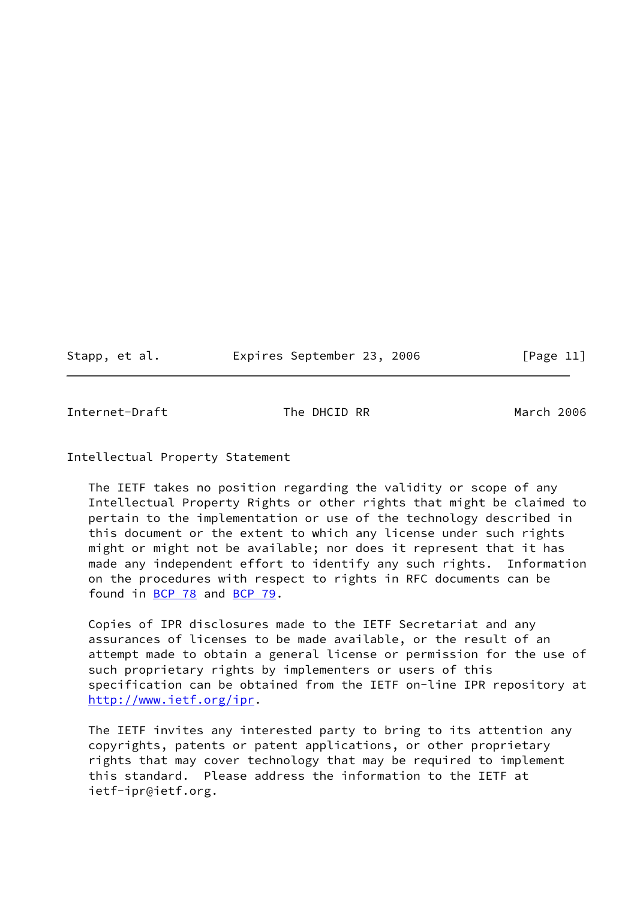Stapp, et al. Expires September 23, 2006 [Page 11]

<span id="page-12-0"></span>Internet-Draft The DHCID RR March 2006

Intellectual Property Statement

 The IETF takes no position regarding the validity or scope of any Intellectual Property Rights or other rights that might be claimed to pertain to the implementation or use of the technology described in this document or the extent to which any license under such rights might or might not be available; nor does it represent that it has made any independent effort to identify any such rights. Information on the procedures with respect to rights in RFC documents can be found in [BCP 78](https://datatracker.ietf.org/doc/pdf/bcp78) and [BCP 79](https://datatracker.ietf.org/doc/pdf/bcp79).

 Copies of IPR disclosures made to the IETF Secretariat and any assurances of licenses to be made available, or the result of an attempt made to obtain a general license or permission for the use of such proprietary rights by implementers or users of this specification can be obtained from the IETF on-line IPR repository at <http://www.ietf.org/ipr>.

 The IETF invites any interested party to bring to its attention any copyrights, patents or patent applications, or other proprietary rights that may cover technology that may be required to implement this standard. Please address the information to the IETF at ietf-ipr@ietf.org.